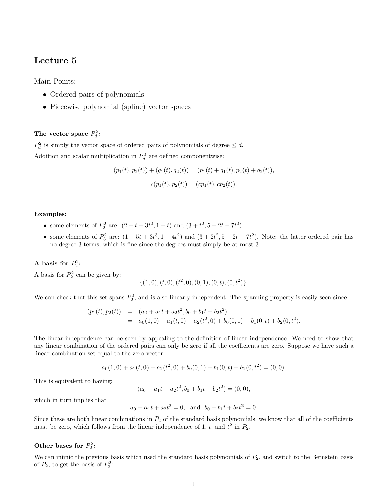# Lecture 5

Main Points:

- Ordered pairs of polynomials
- Piecewise polynomial (spline) vector spaces

## The vector space  $P_d^2$ :

 $P_d^2$  is simply the vector space of ordered pairs of polynomials of degree  $\leq d$ . Addition and scalar multiplication in  $P_d^2$  are defined componentwise:

$$
(p_1(t), p_2(t)) + (q_1(t), q_2(t)) = (p_1(t) + q_1(t), p_2(t) + q_2(t)),
$$
  

$$
c(p_1(t), p_2(t)) = (cp_1(t), cp_2(t)).
$$

#### Examples:

- some elements of  $P_2^2$  are:  $(2 t + 3t^2, 1 t)$  and  $(3 + t^2, 5 2t 7t^2)$ .
- some elements of  $P_3^2$  are:  $(1-5t+3t^3, 1-4t^2)$  and  $(3+2t^2, 5-2t-7t^2)$ . Note: the latter ordered pair has no degree 3 terms, which is fine since the degrees must simply be at most 3.

### A basis for  $P_2^2$ :

A basis for  $P_2^2$  can be given by:

$$
\{(1,0),(t,0),(t^2,0),(0,1),(0,t),(0,t^2)\}.
$$

We can check that this set spans  $P_2^2$ , and is also linearly independent. The spanning property is easily seen since:

$$
(p_1(t), p_2(t)) = (a_0 + a_1t + a_2t^2, b_0 + b_1t + b_2t^2)
$$
  
=  $a_0(1, 0) + a_1(t, 0) + a_2(t^2, 0) + b_0(0, 1) + b_1(0, t) + b_2(0, t^2)$ .

The linear independence can be seen by appealing to the definition of linear independence. We need to show that any linear combination of the ordered pairs can only be zero if all the coefficients are zero. Suppose we have such a linear combination set equal to the zero vector:

$$
a_0(1,0) + a_1(t,0) + a_2(t^2,0) + b_0(0,1) + b_1(0,t) + b_2(0,t^2) = (0,0).
$$

This is equivalent to having:

$$
(a_0 + a_1t + a_2t^2, b_0 + b_1t + b_2t^2) = (0, 0),
$$

which in turn implies that

$$
a_0 + a_1t + a_2t^2 = 0
$$
, and  $b_0 + b_1t + b_2t^2 = 0$ .

Since these are both linear combinations in  $P_2$  of the standard basis polynomials, we know that all of the coefficients must be zero, which follows from the linear independence of 1, t, and  $t^2$  in  $P_2$ .

### Other bases for  $P_2^2$ :

We can mimic the previous basis which used the standard basis polynomials of  $P_2$ , and switch to the Bernstein basis of  $P_2$ , to get the basis of  $P_2^2$ :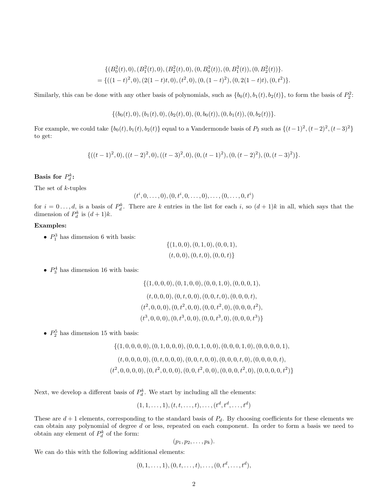$$
\{(B_0^2(t),0), (B_1^2(t),0), (B_2^2(t),0), (0,B_0^2(t)), (0,B_1^2(t)), (0,B_2^2(t))\}.
$$
  
= {((1-t)<sup>2</sup>,0), (2(1-t)t,0), (t<sup>2</sup>,0), (0, (1-t)<sup>2</sup>), (0, 2(1-t)t), (0,t<sup>2</sup>)}.

Similarly, this can be done with any other basis of polynomials, such as  $\{b_0(t), b_1(t), b_2(t)\}\text{, to form the basis of } P_2^2$ :

$$
\{(b_0(t),0), (b_1(t),0), (b_2(t),0), (0,b_0(t)), (0,b_1(t)), (0,b_2(t))\}.
$$

For example, we could take  $\{b_0(t), b_1(t), b_2(t)\}$  equal to a Vandermonde basis of  $P_2$  such as  $\{(t-1)^2, (t-2)^2, (t-3)^2\}$ to get:

$$
\{((t-1)^2,0),((t-2)^2,0),((t-3)^2,0),(0,(t-1)^2),(0,(t-2)^2),(0,(t-3)^2)\}.
$$

## Basis for  $P_d^k$ :

The set of k-tuples

$$
(t^i, 0, \ldots, 0), (0, t^i, 0, \ldots, 0), \ldots, (0, \ldots, 0, t^i)
$$

for  $i = 0...$ , d, is a basis of  $P_d^k$ . There are k entries in the list for each i, so  $(d+1)k$  in all, which says that the dimension of  $P_d^k$  is  $(d+1)k$ .

### Examples:

•  $P_1^3$  has dimension 6 with basis:

$$
\{(1,0,0), (0,1,0), (0,0,1),
$$
  

$$
(t,0,0), (0,t,0), (0,0,t)\}
$$

•  $P_3^4$  has dimension 16 with basis:

$$
\{(1,0,0,0), (0,1,0,0), (0,0,1,0), (0,0,0,1),
$$
  

$$
(t,0,0,0), (0,t,0,0), (0,0,t,0), (0,0,0,t),
$$
  

$$
(t^2,0,0,0), (0,t^2,0,0), (0,0,t^2,0), (0,0,0,t^2),
$$
  

$$
(t^3,0,0,0), (0,t^3,0,0), (0,0,t^3,0), (0,0,0,t^3)\}
$$

•  $P_2^5$  has dimension 15 with basis:

{(1, 0, 0, 0, 0),(0, 1, 0, 0, 0),(0, 0, 1, 0, 0),(0, 0, 0, 1, 0),(0, 0, 0, 0, 1),

 $(t, 0, 0, 0, 0), (0, t, 0, 0, 0), (0, 0, t, 0, 0), (0, 0, 0, t, 0), (0, 0, 0, 0, t),$  $(t^2, 0, 0, 0, 0), (0, t^2, 0, 0, 0), (0, 0, t^2, 0, 0), (0, 0, 0, t^2, 0), (0, 0, 0, 0, t^2)\}$ 

Next, we develop a different basis of  $P_d^k$ . We start by including all the elements:

 $(1, 1, \ldots, 1), (t, t, \ldots, t), \ldots, (t^d, t^d, \ldots, t^d)$ 

These are  $d+1$  elements, corresponding to the standard basis of  $P_d$ . By choosing coefficients for these elements we can obtain any polynomial of degree d or less, repeated on each component. In order to form a basis we need to obtain any element of  $P_d^k$  of the form:

$$
(p_1, p_2, \ldots, p_k).
$$

We can do this with the following additional elements:

$$
(0,1,\ldots,1), (0,t,\ldots,t), \ldots, (0,t^d,\ldots,t^d),
$$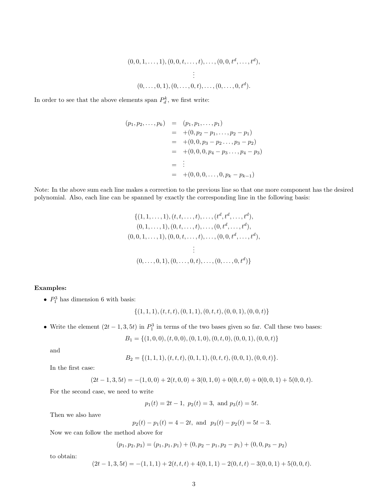$$
(0,0,1,\ldots,1), (0,0,t,\ldots,t),\ldots,(0,0,t^d,\ldots,t^d),
$$
  

$$
\vdots
$$
  

$$
(0,\ldots,0,1), (0,\ldots,0,t),\ldots,(0,\ldots,0,t^d).
$$

In order to see that the above elements span  $P_d^k$ , we first write:

$$
(p_1, p_2,..., p_k) = (p_1, p_1,..., p_1)
$$
  
= +(0, p\_2 - p\_1,..., p\_2 - p\_1)  
= +(0, 0, p\_3 - p\_2..., p\_3 - p\_2)  
= +(0, 0, 0, p\_4 - p\_3..., p\_4 - p\_3)  
= 
$$
\vdots
$$
  
= +(0, 0, 0,..., 0, p\_k - p\_{k-1})

Note: In the above sum each line makes a correction to the previous line so that one more component has the desired polynomial. Also, each line can be spanned by exactly the corresponding line in the following basis:

$$
\{(1, 1, \ldots, 1), (t, t, \ldots, t), \ldots, (t^d, t^d, \ldots, t^d),
$$
  
\n
$$
(0, 1, \ldots, 1), (0, t, \ldots, t), \ldots, (0, t^d, \ldots, t^d),
$$
  
\n
$$
(0, 0, 1, \ldots, 1), (0, 0, t, \ldots, t), \ldots, (0, 0, t^d, \ldots, t^d),
$$
  
\n
$$
\vdots
$$
  
\n
$$
(0, \ldots, 0, 1), (0, \ldots, 0, t), \ldots, (0, \ldots, 0, t^d)\}
$$

### Examples:

•  $P_1^3$  has dimension 6 with basis:

$$
\{(1,1,1),(t,t,t),(0,1,1),(0,t,t),(0,0,1),(0,0,t)\}
$$

• Write the element  $(2t-1,3,5t)$  in  $P_1^3$  in terms of the two bases given so far. Call these two bases:

$$
B_1 = \{(1,0,0), (t,0,0), (0,1,0), (0,t,0), (0,0,1), (0,0,t)\}
$$

and

$$
B_2 = \{(1,1,1), (t,t,t), (0,1,1), (0,t,t), (0,0,1), (0,0,t)\}.
$$

In the first case:

$$
(2t-1,3,5t) = -(1,0,0) + 2(t,0,0) + 3(0,1,0) + 0(0,t,0) + 0(0,0,1) + 5(0,0,t).
$$

For the second case, we need to write

$$
p_1(t) = 2t - 1
$$
,  $p_2(t) = 3$ , and  $p_3(t) = 5t$ .

Then we also have

$$
p_2(t) - p_1(t) = 4 - 2t
$$
, and  $p_3(t) - p_2(t) = 5t - 3$ .

Now we can follow the method above for

$$
(p_1, p_2, p_3) = (p_1, p_1, p_1) + (0, p_2 - p_1, p_2 - p_1) + (0, 0, p_3 - p_2)
$$

to obtain:

$$
(2t-1,3,5t) = -(1,1,1) + 2(t,t,t) + 4(0,1,1) - 2(0,t,t) - 3(0,0,1) + 5(0,0,t).
$$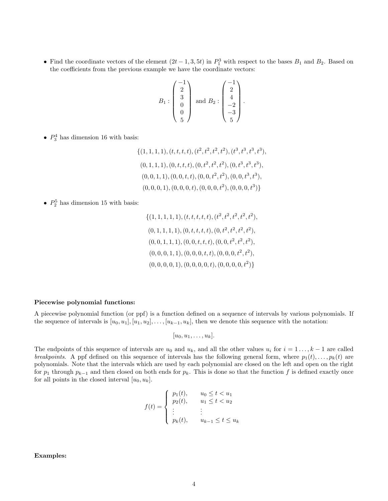• Find the coordinate vectors of the element  $(2t-1,3,5t)$  in  $P_1^3$  with respect to the bases  $B_1$  and  $B_2$ . Based on the coefficients from the previous example we have the coordinate vectors:

$$
B_1: \begin{pmatrix} -1 \\ 2 \\ 3 \\ 0 \\ 0 \\ 5 \end{pmatrix} \text{ and } B_2: \begin{pmatrix} -1 \\ 2 \\ 4 \\ -2 \\ -3 \\ 5 \end{pmatrix}.
$$

•  $P_3^4$  has dimension 16 with basis:

$$
\{(1, 1, 1, 1), (t, t, t, t), (t^2, t^2, t^2, t^2), (t^3, t^3, t^3, t^3),
$$
  
\n
$$
(0, 1, 1, 1), (0, t, t, t), (0, t^2, t^2, t^2), (0, t^3, t^3, t^3),
$$
  
\n
$$
(0, 0, 1, 1), (0, 0, t, t), (0, 0, t^2, t^2), (0, 0, t^3, t^3),
$$
  
\n
$$
(0, 0, 0, 1), (0, 0, 0, t), (0, 0, 0, t^2), (0, 0, 0, t^3)\}
$$

•  $P_2^5$  has dimension 15 with basis:

$$
\{(1, 1, 1, 1, 1), (t, t, t, t, t), (t^2, t^2, t^2, t^2, t^2),(0, 1, 1, 1, 1), (0, t, t, t, t), (0, t^2, t^2, t^2, t^2),(0, 0, 1, 1, 1), (0, 0, t, t, t), (0, 0, t^2, t^2, t^2),(0, 0, 0, 1, 1), (0, 0, 0, t, t), (0, 0, 0, t^2, t^2),(0, 0, 0, 0, 1), (0, 0, 0, 0, t), (0, 0, 0, 0, t^2)\}
$$

#### Piecewise polynomial functions:

A piecewise polynomial function (or ppf) is a function defined on a sequence of intervals by various polynomials. If the sequence of intervals is  $[u_0, u_1], [u_1, u_2], \ldots, [u_{k-1}, u_k]$ , then we denote this sequence with the notation:

$$
[u_0, u_1, \ldots, u_k].
$$

The endpoints of this sequence of intervals are  $u_0$  and  $u_k$ , and all the other values  $u_i$  for  $i = 1 \ldots, k - 1$  are called breakpoints. A ppf defined on this sequence of intervals has the following general form, where  $p_1(t), \ldots, p_k(t)$  are polynomials. Note that the intervals which are used by each polynomial are closed on the left and open on the right for  $p_1$  through  $p_{k-1}$  and then closed on both ends for  $p_k$ . This is done so that the function f is defined exactly once for all points in the closed interval  $[u_0, u_k]$ .

$$
f(t) = \begin{cases} p_1(t), & u_0 \le t < u_1 \\ p_2(t), & u_1 \le t < u_2 \\ \vdots & \vdots \\ p_k(t), & u_{k-1} \le t \le u_k \end{cases}
$$

Examples: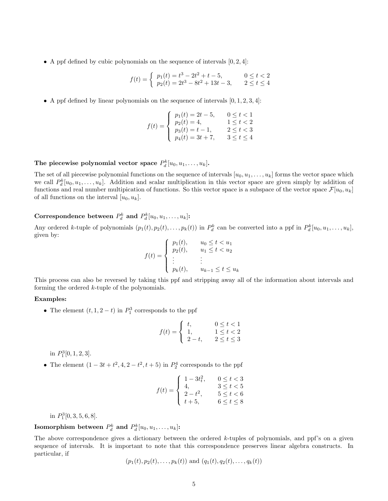• A ppf defined by cubic polynomials on the sequence of intervals  $[0, 2, 4]$ :

$$
f(t) = \begin{cases} p_1(t) = t^3 - 2t^2 + t - 5, & 0 \le t < 2\\ p_2(t) = 2t^3 - 8t^2 + 13t - 3, & 2 \le t \le 4 \end{cases}
$$

• A ppf defined by linear polynomials on the sequence of intervals  $[0, 1, 2, 3, 4]$ :

$$
f(t) = \begin{cases} p_1(t) = 2t - 5, & 0 \le t < 1 \\ p_2(t) = 4, & 1 \le t < 2 \\ p_3(t) = t - 1, & 2 \le t < 3 \\ p_4(t) = 3t + 7, & 3 \le t \le 4 \end{cases}
$$

## The piecewise polynomial vector space  $P_d^k[u_0, u_1, \ldots, u_k]$ .

The set of all piecewise polynomial functions on the sequence of intervals  $[u_0, u_1, \ldots, u_k]$  forms the vector space which we call  $P_d^k[u_0, u_1, \ldots, u_k]$ . Addition and scalar multiplication in this vector space are given simply by addition of functions and real number multipication of functions. So this vector space is a subspace of the vector space  $\mathcal{F}[u_0, u_k]$ of all functions on the interval  $[u_0, u_k]$ .

## Correspondence between  $P_d^k$  and  $P_d^k[u_0, u_1, \ldots, u_k]$ :

Any ordered k-tuple of polynomials  $(p_1(t), p_2(t), \ldots, p_k(t))$  in  $P_d^k$  can be converted into a ppf in  $P_d^k[u_0, u_1, \ldots, u_k]$ , given by:

$$
f(t) = \begin{cases} p_1(t), & u_0 \le t < u_1 \\ p_2(t), & u_1 \le t < u_2 \\ \vdots & \vdots \\ p_k(t), & u_{k-1} \le t \le u_k \end{cases}
$$

This process can also be reversed by taking this ppf and stripping away all of the information about intervals and forming the ordered k-tuple of the polynomials.

### Examples:

• The element  $(t, 1, 2-t)$  in  $P_1^3$  corresponds to the ppf

$$
f(t) = \begin{cases} t, & 0 \le t < 1 \\ 1, & 1 \le t < 2 \\ 2 - t, & 2 \le t \le 3 \end{cases}
$$

in  $P_1^3[0,1,2,3]$ .

• The element  $(1 - 3t + t^2, 4, 2 - t^2, t + 5)$  in  $P_2^4$  corresponds to the ppf

$$
f(t) = \begin{cases} 1 - 3t_t^2, & 0 \le t < 3 \\ 4, & 3 \le t < 5 \\ 2 - t^2, & 5 \le t < 6 \\ t + 5, & 6 \le t \le 8 \end{cases}
$$

in  $P_1^3[0, 3, 5, 6, 8]$ .

## Isomorphism between  $P_d^k$  and  $P_d^k[u_0,u_1,\ldots,u_k]$ :

The above correspondence gives a dictionary between the ordered  $k$ -tuples of polynomials, and ppf's on a given sequence of intervals. It is important to note that this correspondence preserves linear algebra constructs. In particular, if

$$
(p_1(t), p_2(t), \ldots, p_k(t))
$$
 and  $(q_1(t), q_2(t), \ldots, q_k(t))$